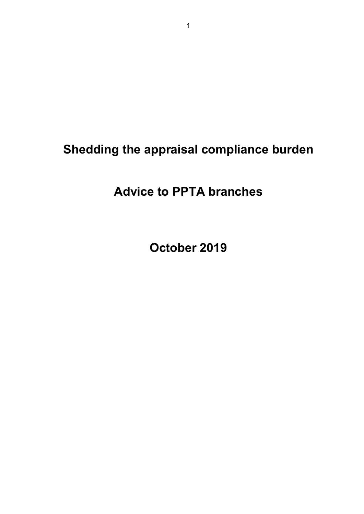# **Shedding the appraisal compliance burden**

# **Advice to PPTA branches**

**October 2019**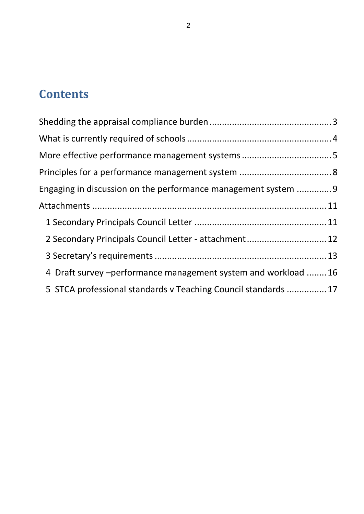# **Contents**

| Engaging in discussion on the performance management system  9 |  |
|----------------------------------------------------------------|--|
|                                                                |  |
|                                                                |  |
| 2 Secondary Principals Council Letter - attachment 12          |  |
|                                                                |  |
| 4 Draft survey – performance management system and workload 16 |  |
| 5 STCA professional standards v Teaching Council standards 17  |  |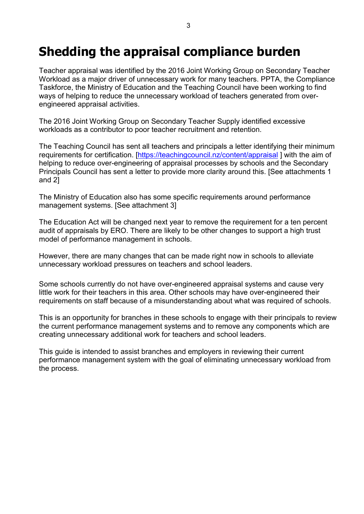# <span id="page-2-0"></span>**Shedding the appraisal compliance burden**

Teacher appraisal was identified by the 2016 Joint Working Group on Secondary Teacher Workload as a major driver of unnecessary work for many teachers. PPTA, the Compliance Taskforce, the Ministry of Education and the Teaching Council have been working to find ways of helping to reduce the unnecessary workload of teachers generated from overengineered appraisal activities.

The 2016 Joint Working Group on Secondary Teacher Supply identified excessive workloads as a contributor to poor teacher recruitment and retention.

The Teaching Council has sent all teachers and principals a letter identifying their minimum requirements for certification. [\[https://teachingcouncil.nz/content/appraisal](https://teachingcouncil.nz/content/appraisal)] with the aim of helping to reduce over-engineering of appraisal processes by schools and the Secondary Principals Council has sent a letter to provide more clarity around this. [See attachments 1 and 2]

The Ministry of Education also has some specific requirements around performance management systems. [See attachment 3]

The Education Act will be changed next year to remove the requirement for a ten percent audit of appraisals by ERO. There are likely to be other changes to support a high trust model of performance management in schools.

However, there are many changes that can be made right now in schools to alleviate unnecessary workload pressures on teachers and school leaders.

Some schools currently do not have over-engineered appraisal systems and cause very little work for their teachers in this area. Other schools may have over-engineered their requirements on staff because of a misunderstanding about what was required of schools.

This is an opportunity for branches in these schools to engage with their principals to review the current performance management systems and to remove any components which are creating unnecessary additional work for teachers and school leaders.

This guide is intended to assist branches and employers in reviewing their current performance management system with the goal of eliminating unnecessary workload from the process.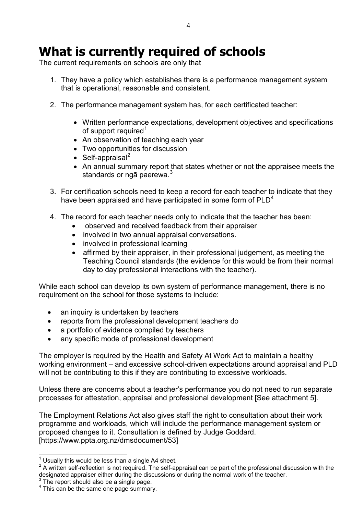# <span id="page-3-0"></span>**What is currently required of schools**

The current requirements on schools are only that

- 1. They have a policy which establishes there is a performance management system that is operational, reasonable and consistent.
- 2. The performance management system has, for each certificated teacher:
	- Written performance expectations, development objectives and specifications of support required<sup>[1](#page-3-1)</sup>
	- An observation of teaching each year
	- Two opportunities for discussion
	- Self-appraisal<sup>[2](#page-3-2)</sup>
	- An annual summary report that states whether or not the appraisee meets the standards or ngā paerewa.<sup>[3](#page-3-3)</sup>
- 3. For certification schools need to keep a record for each teacher to indicate that they have been appraised and have participated in some form of  $PLD<sup>4</sup>$  $PLD<sup>4</sup>$  $PLD<sup>4</sup>$
- 4. The record for each teacher needs only to indicate that the teacher has been:
	- observed and received feedback from their appraiser
	- involved in two annual appraisal conversations.
	- involved in professional learning
	- affirmed by their appraiser, in their professional judgement, as meeting the Teaching Council standards (the evidence for this would be from their normal day to day professional interactions with the teacher).

While each school can develop its own system of performance management, there is no requirement on the school for those systems to include:

- an inquiry is undertaken by teachers
- reports from the professional development teachers do
- a portfolio of evidence compiled by teachers
- any specific mode of professional development

The employer is required by the Health and Safety At Work Act to maintain a healthy working environment – and excessive school-driven expectations around appraisal and PLD will not be contributing to this if they are contributing to excessive workloads.

Unless there are concerns about a teacher's performance you do not need to run separate processes for attestation, appraisal and professional development [See attachment 5].

The Employment Relations Act also gives staff the right to consultation about their work programme and workloads, which will include the performance management system or proposed changes to it. Consultation is defined by Judge Goddard. [https://www.ppta.org.nz/dmsdocument/53]

<span id="page-3-3"></span> $3$  The report should also be a single page.

<span id="page-3-2"></span><span id="page-3-1"></span> $^1$  Usually this would be less than a single A4 sheet.<br><sup>2</sup> A written self-reflection is not required. The self-appraisal can be part of the professional discussion with the designated appraiser either during the discussions or during the normal work of the teacher.

<span id="page-3-4"></span><sup>&</sup>lt;sup>4</sup> This can be the same one page summary.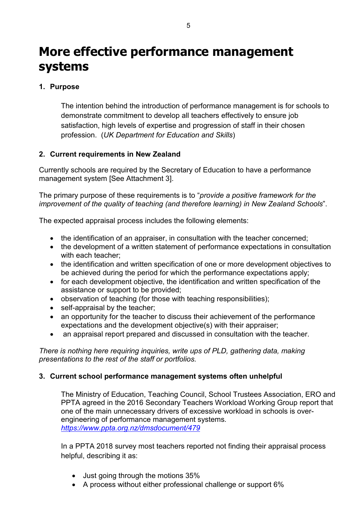# <span id="page-4-0"></span>**More effective performance management systems**

## **1. Purpose**

The intention behind the introduction of performance management is for schools to demonstrate commitment to develop all teachers effectively to ensure job satisfaction, high levels of expertise and progression of staff in their chosen profession. (*UK Department for Education and Skills*)

### **2. Current requirements in New Zealand**

Currently schools are required by the Secretary of Education to have a performance management system [See Attachment 3].

The primary purpose of these requirements is to "*provide a positive framework for the improvement of the quality of teaching (and therefore learning) in New Zealand Schools*".

The expected appraisal process includes the following elements:

- the identification of an appraiser, in consultation with the teacher concerned;
- the development of a written statement of performance expectations in consultation with each teacher:
- the identification and written specification of one or more development objectives to be achieved during the period for which the performance expectations apply;
- for each development objective, the identification and written specification of the assistance or support to be provided;
- observation of teaching (for those with teaching responsibilities);
- self-appraisal by the teacher;
- an opportunity for the teacher to discuss their achievement of the performance expectations and the development objective(s) with their appraiser;
- an appraisal report prepared and discussed in consultation with the teacher.

*There is nothing here requiring inquiries, write ups of PLD, gathering data, making presentations to the rest of the staff or portfolios.*

### **3. Current school performance management systems often unhelpful**

The Ministry of Education, Teaching Council, School Trustees Association, ERO and PPTA agreed in the 2016 Secondary Teachers Workload Working Group report that one of the main unnecessary drivers of excessive workload in schools is overengineering of performance management systems*. <https://www.ppta.org.nz/dmsdocument/479>*

In a PPTA 2018 survey most teachers reported not finding their appraisal process helpful, describing it as:

- Just going through the motions 35%
- A process without either professional challenge or support 6%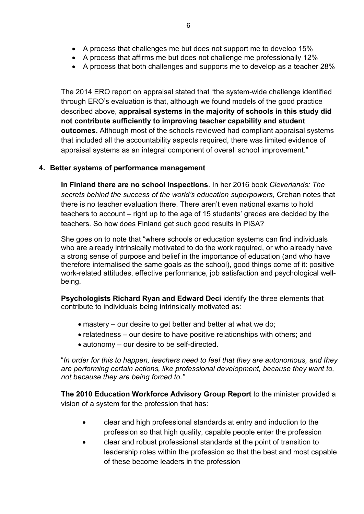- A process that affirms me but does not challenge me professionally 12%
- A process that both challenges and supports me to develop as a teacher 28%

The 2014 ERO report on appraisal stated that "the system-wide challenge identified through ERO's evaluation is that, although we found models of the good practice described above, **appraisal systems in the majority of schools in this study did not contribute sufficiently to improving teacher capability and student outcomes.** Although most of the schools reviewed had compliant appraisal systems that included all the accountability aspects required, there was limited evidence of appraisal systems as an integral component of overall school improvement."

### **4. Better systems of performance management**

**In Finland there are no school inspections**. In her 2016 book *Cleverlands: The secrets behind the success of the world's education superpowers*, Crehan notes that there is no teacher evaluation there. There aren't even national exams to hold teachers to account – right up to the age of 15 students' grades are decided by the teachers. So how does Finland get such good results in PISA?

She goes on to note that "where schools or education systems can find individuals who are already intrinsically motivated to do the work required, or who already have a strong sense of purpose and belief in the importance of education (and who have therefore internalised the same goals as the school), good things come of it: positive work-related attitudes, effective performance, job satisfaction and psychological wellbeing.

**Psychologists Richard Ryan and Edward Deci** identify the three elements that contribute to individuals being intrinsically motivated as:

- mastery our desire to get better and better at what we do;
- relatedness our desire to have positive relationships with others; and
- autonomy our desire to be self-directed.

"*In order for this to happen, teachers need to feel that they are autonomous, and they are performing certain actions, like professional development, because they want to, not because they are being forced to."*

**The 2010 Education Workforce Advisory Group Report** to the minister provided a vision of a system for the profession that has:

- clear and high professional standards at entry and induction to the profession so that high quality, capable people enter the profession
- clear and robust professional standards at the point of transition to leadership roles within the profession so that the best and most capable of these become leaders in the profession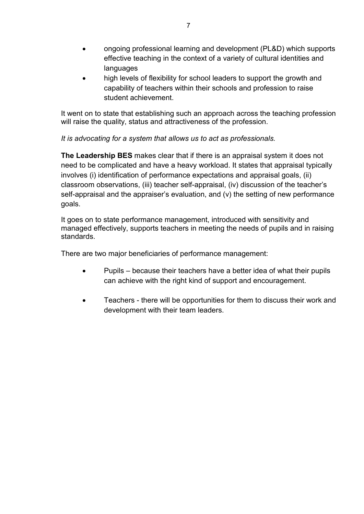- ongoing professional learning and development (PL&D) which supports effective teaching in the context of a variety of cultural identities and languages
- high levels of flexibility for school leaders to support the growth and capability of teachers within their schools and profession to raise student achievement.

It went on to state that establishing such an approach across the teaching profession will raise the quality, status and attractiveness of the profession.

*It is advocating for a system that allows us to act as professionals.*

**The Leadership BES** makes clear that if there is an appraisal system it does not need to be complicated and have a heavy workload. It states that appraisal typically involves (i) identification of performance expectations and appraisal goals, (ii) classroom observations, (iii) teacher self-appraisal, (iv) discussion of the teacher's self-appraisal and the appraiser's evaluation, and (v) the setting of new performance goals.

It goes on to state performance management, introduced with sensitivity and managed effectively, supports teachers in meeting the needs of pupils and in raising standards.

There are two major beneficiaries of performance management:

- Pupils because their teachers have a better idea of what their pupils can achieve with the right kind of support and encouragement.
- Teachers there will be opportunities for them to discuss their work and development with their team leaders.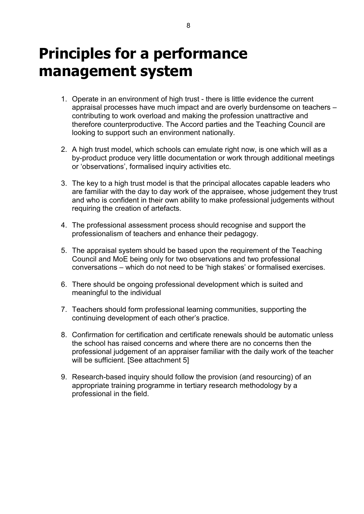# <span id="page-7-0"></span>**Principles for a performance management system**

- 1. Operate in an environment of high trust there is little evidence the current appraisal processes have much impact and are overly burdensome on teachers – contributing to work overload and making the profession unattractive and therefore counterproductive. The Accord parties and the Teaching Council are looking to support such an environment nationally.
- 2. A high trust model, which schools can emulate right now, is one which will as a by-product produce very little documentation or work through additional meetings or 'observations', formalised inquiry activities etc.
- 3. The key to a high trust model is that the principal allocates capable leaders who are familiar with the day to day work of the appraisee, whose judgement they trust and who is confident in their own ability to make professional judgements without requiring the creation of artefacts.
- 4. The professional assessment process should recognise and support the professionalism of teachers and enhance their pedagogy.
- 5. The appraisal system should be based upon the requirement of the Teaching Council and MoE being only for two observations and two professional conversations – which do not need to be 'high stakes' or formalised exercises.
- 6. There should be ongoing professional development which is suited and meaningful to the individual
- 7. Teachers should form professional learning communities, supporting the continuing development of each other's practice.
- 8. Confirmation for certification and certificate renewals should be automatic unless the school has raised concerns and where there are no concerns then the professional judgement of an appraiser familiar with the daily work of the teacher will be sufficient. [See attachment 5]
- 9. Research-based inquiry should follow the provision (and resourcing) of an appropriate training programme in tertiary research methodology by a professional in the field.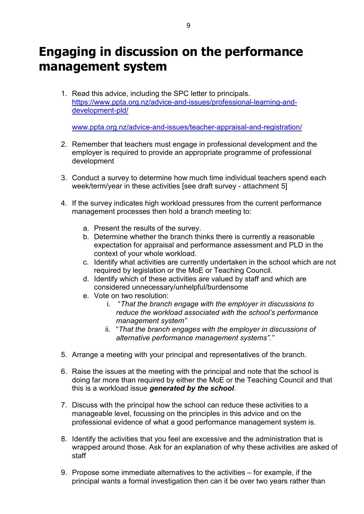# <span id="page-8-0"></span>**Engaging in discussion on the performance management system**

1. Read this advice, including the SPC letter to principals. [https://www.ppta.org.nz/advice-and-issues/professional-learning-and](https://www.ppta.org.nz/advice-and-issues/professional-learning-and-development-pld/)[development-pld/](https://www.ppta.org.nz/advice-and-issues/professional-learning-and-development-pld/)

[www.ppta.org.nz/advice-and-issues/teacher-appraisal-and-registration/](http://www.ppta.org.nz/advice-and-issues/teacher-appraisal-and-registration/)

- 2. Remember that teachers must engage in professional development and the employer is required to provide an appropriate programme of professional development
- 3. Conduct a survey to determine how much time individual teachers spend each week/term/year in these activities [see draft survey - attachment 5]
- 4. If the survey indicates high workload pressures from the current performance management processes then hold a branch meeting to:
	- a. Present the results of the survey.
	- b. Determine whether the branch thinks there is currently a reasonable expectation for appraisal and performance assessment and PLD in the context of your whole workload.
	- c. Identify what activities are currently undertaken in the school which are not required by legislation or the MoE or Teaching Council.
	- d. Identify which of these activities are valued by staff and which are considered unnecessary/unhelpful/burdensome
	- e. Vote on two resolution:
		- i. "*That the branch engage with the employer in discussions to reduce the workload associated with the school's performance management system"*
		- ii. "*That the branch engages with the employer in discussions of alternative performance management systems"."*
- 5. Arrange a meeting with your principal and representatives of the branch.
- 6. Raise the issues at the meeting with the principal and note that the school is doing far more than required by either the MoE or the Teaching Council and that this is a workload issue *generated by the school*.
- 7. Discuss with the principal how the school can reduce these activities to a manageable level, focussing on the principles in this advice and on the professional evidence of what a good performance management system is.
- 8. Identify the activities that you feel are excessive and the administration that is wrapped around those. Ask for an explanation of why these activities are asked of staff
- 9. Propose some immediate alternatives to the activities for example, if the principal wants a formal investigation then can it be over two years rather than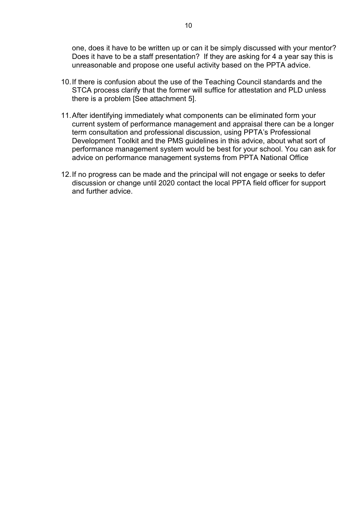one, does it have to be written up or can it be simply discussed with your mentor? Does it have to be a staff presentation? If they are asking for 4 a year say this is unreasonable and propose one useful activity based on the PPTA advice.

- 10.If there is confusion about the use of the Teaching Council standards and the STCA process clarify that the former will suffice for attestation and PLD unless there is a problem [See attachment 5].
- 11.After identifying immediately what components can be eliminated form your current system of performance management and appraisal there can be a longer term consultation and professional discussion, using PPTA's Professional Development Toolkit and the PMS guidelines in this advice, about what sort of performance management system would be best for your school. You can ask for advice on performance management systems from PPTA National Office
- 12.If no progress can be made and the principal will not engage or seeks to defer discussion or change until 2020 contact the local PPTA field officer for support and further advice.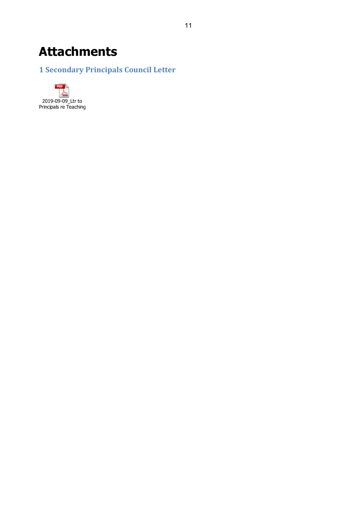# <span id="page-10-0"></span>**Attachments**

# <span id="page-10-1"></span>**1 Secondary Principals Council Letter**

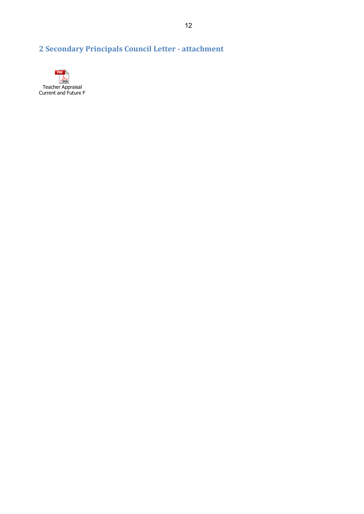# <span id="page-11-0"></span>**2 Secondary Principals Council Letter - attachment**

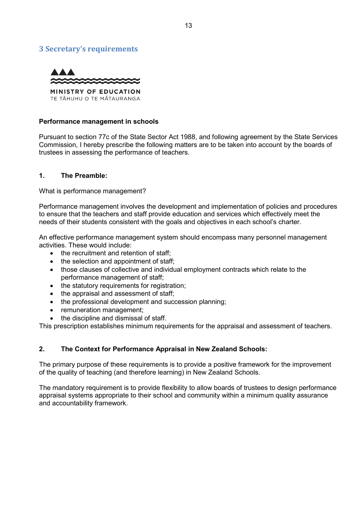### <span id="page-12-0"></span>**3 Secretary's requirements**



#### **Performance management in schools**

Pursuant to section 77c of the State Sector Act 1988, and following agreement by the State Services Commission, I hereby prescribe the following matters are to be taken into account by the boards of trustees in assessing the performance of teachers.

#### **1. The Preamble:**

What is performance management?

Performance management involves the development and implementation of policies and procedures to ensure that the teachers and staff provide education and services which effectively meet the needs of their students consistent with the goals and objectives in each school's charter.

An effective performance management system should encompass many personnel management activities. These would include:

- the recruitment and retention of staff:
- the selection and appointment of staff:
- those clauses of collective and individual employment contracts which relate to the performance management of staff;
- the statutory requirements for registration;
- the appraisal and assessment of staff;
- the professional development and succession planning;
- remuneration management:
- the discipline and dismissal of staff.

This prescription establishes minimum requirements for the appraisal and assessment of teachers.

### **2. The Context for Performance Appraisal in New Zealand Schools:**

The primary purpose of these requirements is to provide a positive framework for the improvement of the quality of teaching (and therefore learning) in New Zealand Schools.

The mandatory requirement is to provide flexibility to allow boards of trustees to design performance appraisal systems appropriate to their school and community within a minimum quality assurance and accountability framework.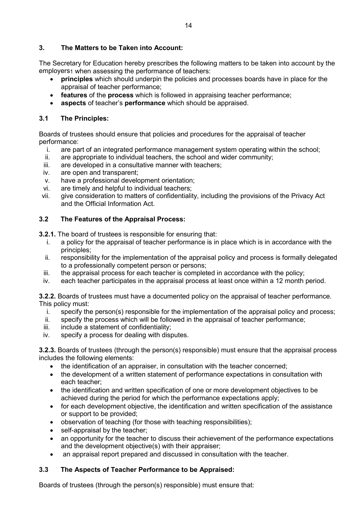### **3. The Matters to be Taken into Account:**

The Secretary for Education hereby prescribes the following matters to be taken into account by the employers1 when assessing the performance of teachers:

- **principles** which should underpin the policies and processes boards have in place for the appraisal of teacher performance;
- **features** of the **process** which is followed in appraising teacher performance;
- **aspects** of teacher's **performance** which should be appraised.

### **3.1 The Principles:**

Boards of trustees should ensure that policies and procedures for the appraisal of teacher performance:

- i. are part of an integrated performance management system operating within the school;<br>ii. are appropriate to individual teachers, the school and wider community:
- are appropriate to individual teachers, the school and wider community;
- iii. are developed in a consultative manner with teachers;
- iv. are open and transparent;
- v. have a professional development orientation;
- vi. are timely and helpful to individual teachers;
- vii. give consideration to matters of confidentiality, including the provisions of the Privacy Act and the Official Information Act.

### **3.2 The Features of the Appraisal Process:**

**3.2.1.** The board of trustees is responsible for ensuring that:

- i. a policy for the appraisal of teacher performance is in place which is in accordance with the principles;
- ii. responsibility for the implementation of the appraisal policy and process is formally delegated to a professionally competent person or persons;
- iii. the appraisal process for each teacher is completed in accordance with the policy;
- iv. each teacher participates in the appraisal process at least once within a 12 month period.

**3.2.2.** Boards of trustees must have a documented policy on the appraisal of teacher performance. This policy must:

- i. specify the person(s) responsible for the implementation of the appraisal policy and process;
- ii. specify the process which will be followed in the appraisal of teacher performance;
- iii. include a statement of confidentiality:
- iv. specify a process for dealing with disputes.

**3.2.3.** Boards of trustees (through the person(s) responsible) must ensure that the appraisal process includes the following elements:

- the identification of an appraiser, in consultation with the teacher concerned;
- the development of a written statement of performance expectations in consultation with each teacher;
- the identification and written specification of one or more development objectives to be achieved during the period for which the performance expectations apply;
- for each development objective, the identification and written specification of the assistance or support to be provided;
- observation of teaching (for those with teaching responsibilities);
- self-appraisal by the teacher;
- an opportunity for the teacher to discuss their achievement of the performance expectations and the development objective(s) with their appraiser;
- an appraisal report prepared and discussed in consultation with the teacher.

### **3.3 The Aspects of Teacher Performance to be Appraised:**

Boards of trustees (through the person(s) responsible) must ensure that: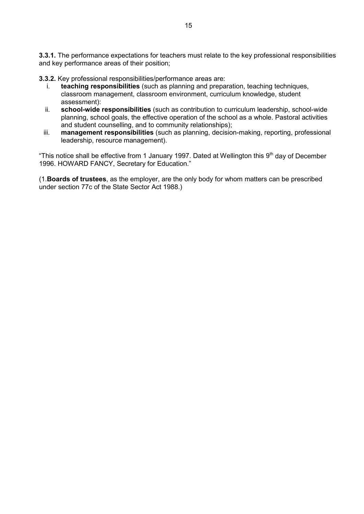**3.3.1.** The performance expectations for teachers must relate to the key professional responsibilities and key performance areas of their position;

**3.3.2.** Key professional responsibilities/performance areas are:

- i. **teaching responsibilities** (such as planning and preparation, teaching techniques, classroom management, classroom environment, curriculum knowledge, student assessment):
- ii. **school-wide responsibilities** (such as contribution to curriculum leadership, school-wide planning, school goals, the effective operation of the school as a whole. Pastoral activities and student counselling, and to community relationships);
- iii. **management responsibilities** (such as planning, decision-making, reporting, professional leadership, resource management).

"This notice shall be effective from 1 January 1997. Dated at Wellington this  $9<sup>th</sup>$  day of December 1996. HOWARD FANCY, Secretary for Education."

(1.**Boards of trustees**, as the employer, are the only body for whom matters can be prescribed under section 77c of the State Sector Act 1988.)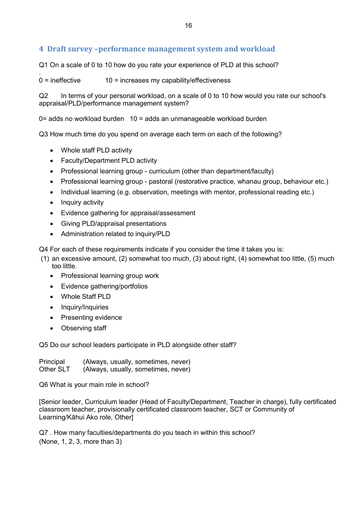## <span id="page-15-0"></span>**4 Draft survey –performance management system and workload**

Q1 On a scale of 0 to 10 how do you rate your experience of PLD at this school?

.  $0 =$  ineffective  $10 =$  increases my capability/effectiveness

Q2 In terms of your personal workload, on a scale of 0 to 10 how would you rate our school's appraisal/PLD/performance management system?

0= adds no workload burden 10 = adds an unmanageable workload burden

Q3 How much time do you spend on average each term on each of the following?

- Whole staff PLD activity
- Faculty/Department PLD activity
- Professional learning group curriculum (other than department/faculty)
- Professional learning group pastoral (restorative practice, whanau group, behaviour etc.)
- Individual learning (e.g. observation, meetings with mentor, professional reading etc.)
- Inquiry activity
- Evidence gathering for appraisal/assessment
- Giving PLD/appraisal presentations
- Administration related to inquiry/PLD

Q4 For each of these requirements indicate if you consider the time it takes you is:

- (1) an excessive amount, (2) somewhat too much, (3) about right, (4) somewhat too little, (5) much too little.
	- Professional learning group work
	- Evidence gathering/portfolios
	- Whole Staff PLD
	- Inquiry/Inquiries
	- Presenting evidence
	- Observing staff

Q5 Do our school leaders participate in PLD alongside other staff?

Principal (Always, usually, sometimes, never) Other SLT (Always, usually, sometimes, never)

Q6 What is your main role in school?

[Senior leader, Curriculum leader (Head of Faculty/Department, Teacher in charge), fully certificated classroom teacher, provisionally certificated classroom teacher, SCT or Community of Learning/Kāhui Ako role, Other]

Q7 . How many faculties/departments do you teach in within this school? (None, 1, 2, 3, more than 3)